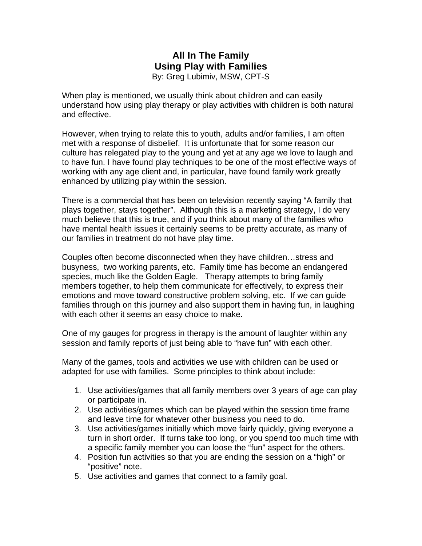### **All In The Family Using Play with Families**  By: Greg Lubimiv, MSW, CPT-S

When play is mentioned, we usually think about children and can easily understand how using play therapy or play activities with children is both natural and effective.

However, when trying to relate this to youth, adults and/or families, I am often met with a response of disbelief. It is unfortunate that for some reason our culture has relegated play to the young and yet at any age we love to laugh and to have fun. I have found play techniques to be one of the most effective ways of working with any age client and, in particular, have found family work greatly enhanced by utilizing play within the session.

There is a commercial that has been on television recently saying "A family that plays together, stays together". Although this is a marketing strategy, I do very much believe that this is true, and if you think about many of the families who have mental health issues it certainly seems to be pretty accurate, as many of our families in treatment do not have play time.

Couples often become disconnected when they have children…stress and busyness, two working parents, etc. Family time has become an endangered species, much like the Golden Eagle. Therapy attempts to bring family members together, to help them communicate for effectively, to express their emotions and move toward constructive problem solving, etc. If we can guide families through on this journey and also support them in having fun, in laughing with each other it seems an easy choice to make.

One of my gauges for progress in therapy is the amount of laughter within any session and family reports of just being able to "have fun" with each other.

Many of the games, tools and activities we use with children can be used or adapted for use with families. Some principles to think about include:

- 1. Use activities/games that all family members over 3 years of age can play or participate in.
- 2. Use activities/games which can be played within the session time frame and leave time for whatever other business you need to do.
- 3. Use activities/games initially which move fairly quickly, giving everyone a turn in short order. If turns take too long, or you spend too much time with a specific family member you can loose the "fun" aspect for the others.
- 4. Position fun activities so that you are ending the session on a "high" or "positive" note.
- 5. Use activities and games that connect to a family goal.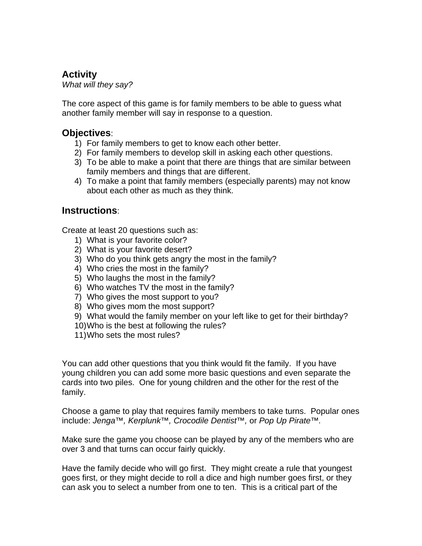# **Activity**

*What will they say?* 

The core aspect of this game is for family members to be able to guess what another family member will say in response to a question.

## **Objectives**:

- 1) For family members to get to know each other better.
- 2) For family members to develop skill in asking each other questions.
- 3) To be able to make a point that there are things that are similar between family members and things that are different.
- 4) To make a point that family members (especially parents) may not know about each other as much as they think.

### **Instructions**:

Create at least 20 questions such as:

- 1) What is your favorite color?
- 2) What is your favorite desert?
- 3) Who do you think gets angry the most in the family?
- 4) Who cries the most in the family?
- 5) Who laughs the most in the family?
- 6) Who watches TV the most in the family?
- 7) Who gives the most support to you?
- 8) Who gives mom the most support?
- 9) What would the family member on your left like to get for their birthday?
- 10) Who is the best at following the rules?
- 11) Who sets the most rules?

You can add other questions that you think would fit the family. If you have young children you can add some more basic questions and even separate the cards into two piles. One for young children and the other for the rest of the family.

Choose a game to play that requires family members to take turns. Popular ones include: *Jenga*™*, Kerplunk*™*, Crocodile Dentist*™*,* or *Pop Up Pirate*™*.*

Make sure the game you choose can be played by any of the members who are over 3 and that turns can occur fairly quickly.

Have the family decide who will go first. They might create a rule that youngest goes first, or they might decide to roll a dice and high number goes first, or they can ask you to select a number from one to ten. This is a critical part of the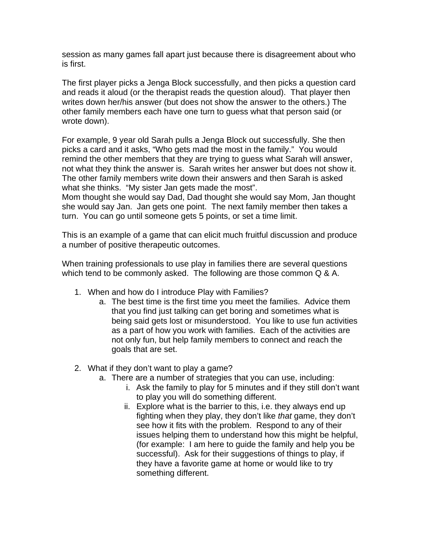session as many games fall apart just because there is disagreement about who is first.

The first player picks a Jenga Block successfully, and then picks a question card and reads it aloud (or the therapist reads the question aloud). That player then writes down her/his answer (but does not show the answer to the others.) The other family members each have one turn to guess what that person said (or wrote down).

For example, 9 year old Sarah pulls a Jenga Block out successfully. She then picks a card and it asks, "Who gets mad the most in the family." You would remind the other members that they are trying to guess what Sarah will answer, not what they think the answer is. Sarah writes her answer but does not show it. The other family members write down their answers and then Sarah is asked what she thinks. "My sister Jan gets made the most".

Mom thought she would say Dad, Dad thought she would say Mom, Jan thought she would say Jan. Jan gets one point. The next family member then takes a turn. You can go until someone gets 5 points, or set a time limit.

This is an example of a game that can elicit much fruitful discussion and produce a number of positive therapeutic outcomes.

When training professionals to use play in families there are several questions which tend to be commonly asked. The following are those common Q & A.

- 1. When and how do I introduce Play with Families?
	- a. The best time is the first time you meet the families. Advice them that you find just talking can get boring and sometimes what is being said gets lost or misunderstood. You like to use fun activities as a part of how you work with families. Each of the activities are not only fun, but help family members to connect and reach the goals that are set.
- 2. What if they don't want to play a game?
	- a. There are a number of strategies that you can use, including:
		- i. Ask the family to play for 5 minutes and if they still don't want to play you will do something different.
		- ii. Explore what is the barrier to this, i.e. they always end up fighting when they play, they don't like *that* game, they don't see how it fits with the problem. Respond to any of their issues helping them to understand how this might be helpful, (for example: I am here to guide the family and help you be successful). Ask for their suggestions of things to play, if they have a favorite game at home or would like to try something different.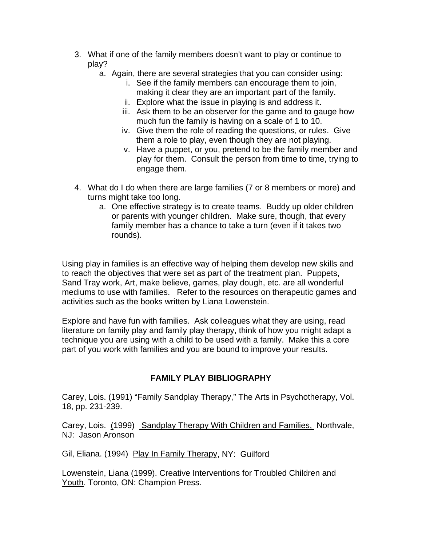- 3. What if one of the family members doesn't want to play or continue to play?
	- a. Again, there are several strategies that you can consider using:
		- i. See if the family members can encourage them to join, making it clear they are an important part of the family.
		- ii. Explore what the issue in playing is and address it.
		- iii. Ask them to be an observer for the game and to gauge how much fun the family is having on a scale of 1 to 10.
		- iv. Give them the role of reading the questions, or rules. Give them a role to play, even though they are not playing.
		- v. Have a puppet, or you, pretend to be the family member and play for them. Consult the person from time to time, trying to engage them.
- 4. What do I do when there are large families (7 or 8 members or more) and turns might take too long.
	- a. One effective strategy is to create teams. Buddy up older children or parents with younger children. Make sure, though, that every family member has a chance to take a turn (even if it takes two rounds).

Using play in families is an effective way of helping them develop new skills and to reach the objectives that were set as part of the treatment plan. Puppets, Sand Tray work, Art, make believe, games, play dough, etc. are all wonderful mediums to use with families. Refer to the resources on therapeutic games and activities such as the books written by Liana Lowenstein.

Explore and have fun with families. Ask colleagues what they are using, read literature on family play and family play therapy, think of how you might adapt a technique you are using with a child to be used with a family. Make this a core part of you work with families and you are bound to improve your results.

#### **FAMILY PLAY BIBLIOGRAPHY**

Carey, Lois. (1991) "Family Sandplay Therapy," The Arts in Psychotherapy, Vol. 18, pp. 231-239.

Carey, Lois. (1999) Sandplay Therapy With Children and Families, Northvale, NJ: Jason Aronson

Gil, Eliana. (1994) Play In Family Therapy, NY: Guilford

Lowenstein, Liana (1999). Creative Interventions for Troubled Children and Youth. Toronto, ON: Champion Press.